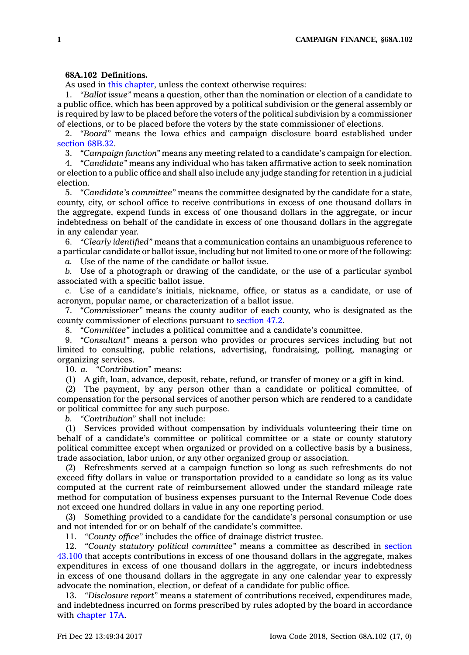## **68A.102 Definitions.**

As used in this [chapter](https://www.legis.iowa.gov/docs/code//68A.pdf), unless the context otherwise requires:

1. *"Ballot issue"* means <sup>a</sup> question, other than the nomination or election of <sup>a</sup> candidate to <sup>a</sup> public office, which has been approved by <sup>a</sup> political subdivision or the general assembly or is required by law to be placed before the voters of the political subdivision by <sup>a</sup> commissioner of elections, or to be placed before the voters by the state commissioner of elections.

2. *"Board"* means the Iowa ethics and campaign disclosure board established under [section](https://www.legis.iowa.gov/docs/code/68B.32.pdf) 68B.32.

3. *"Campaign function"* means any meeting related to <sup>a</sup> candidate's campaign for election.

4. *"Candidate"* means any individual who has taken affirmative action to seek nomination or election to <sup>a</sup> public office and shall also include any judge standing for retention in <sup>a</sup> judicial election.

5. *"Candidate's committee"* means the committee designated by the candidate for <sup>a</sup> state, county, city, or school office to receive contributions in excess of one thousand dollars in the aggregate, expend funds in excess of one thousand dollars in the aggregate, or incur indebtedness on behalf of the candidate in excess of one thousand dollars in the aggregate in any calendar year.

6. *"Clearly identified"* means that <sup>a</sup> communication contains an unambiguous reference to <sup>a</sup> particular candidate or ballot issue, including but not limited to one or more of the following:

*a.* Use of the name of the candidate or ballot issue.

*b.* Use of <sup>a</sup> photograph or drawing of the candidate, or the use of <sup>a</sup> particular symbol associated with <sup>a</sup> specific ballot issue.

*c.* Use of <sup>a</sup> candidate's initials, nickname, office, or status as <sup>a</sup> candidate, or use of acronym, popular name, or characterization of <sup>a</sup> ballot issue.

7. *"Commissioner"* means the county auditor of each county, who is designated as the county commissioner of elections pursuant to [section](https://www.legis.iowa.gov/docs/code/47.2.pdf) 47.2.

8. *"Committee"* includes a political committee and a candidate's committee.<br>9. "Consultant" means a person who provides or procures services inclue

9. *"Consultant"* means <sup>a</sup> person who provides or procures services including but not limited to consulting, public relations, advertising, fundraising, polling, managing or organizing services.

10. *a. "Contribution"* means:

(1) A gift, loan, advance, deposit, rebate, refund, or transfer of money or <sup>a</sup> gift in kind.

(2) The payment, by any person other than <sup>a</sup> candidate or political committee, of compensation for the personal services of another person which are rendered to <sup>a</sup> candidate or political committee for any such purpose.

*b. "Contribution"* shall not include:

(1) Services provided without compensation by individuals volunteering their time on behalf of <sup>a</sup> candidate's committee or political committee or <sup>a</sup> state or county statutory political committee except when organized or provided on <sup>a</sup> collective basis by <sup>a</sup> business, trade association, labor union, or any other organized group or association.

(2) Refreshments served at <sup>a</sup> campaign function so long as such refreshments do not exceed fifty dollars in value or transportation provided to <sup>a</sup> candidate so long as its value computed at the current rate of reimbursement allowed under the standard mileage rate method for computation of business expenses pursuant to the Internal Revenue Code does not exceed one hundred dollars in value in any one reporting period.

(3) Something provided to <sup>a</sup> candidate for the candidate's personal consumption or use and not intended for or on behalf of the candidate's committee.

11. *"County office"* includes the office of drainage district trustee.

12. *"County statutory political committee"* means <sup>a</sup> committee as described in [section](https://www.legis.iowa.gov/docs/code/43.100.pdf) [43.100](https://www.legis.iowa.gov/docs/code/43.100.pdf) that accepts contributions in excess of one thousand dollars in the aggregate, makes expenditures in excess of one thousand dollars in the aggregate, or incurs indebtedness in excess of one thousand dollars in the aggregate in any one calendar year to expressly advocate the nomination, election, or defeat of <sup>a</sup> candidate for public office.

13. *"Disclosure report"* means <sup>a</sup> statement of contributions received, expenditures made, and indebtedness incurred on forms prescribed by rules adopted by the board in accordance with [chapter](https://www.legis.iowa.gov/docs/code//17A.pdf) 17A.